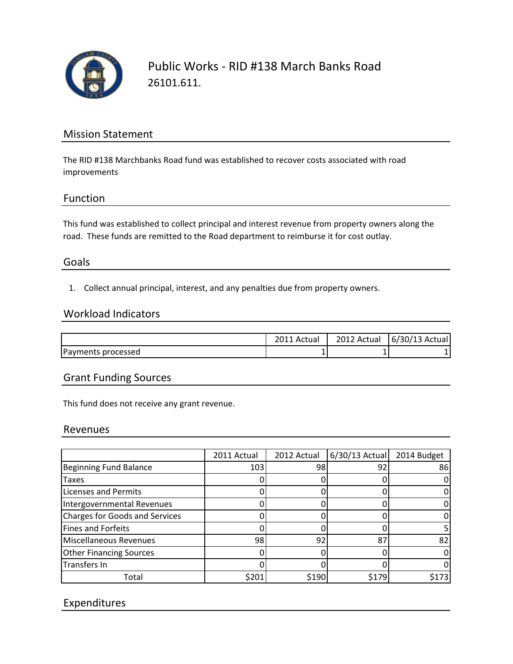

Public Works - RID #138 March Banks Road 26101.611.

## Mission Statement

The RID #138 Marchbanks Road fund was established to recover costs associated with road improvements

## Function

This fund was established to collect principal and interest revenue from property owners along the road. These funds are remitted to the Road department to reimburse it for cost outlay.

## Goals

1. Collect annual principal, interest, and any penalties due from property owners.

#### Workload Indicators

|                    | Actual | 2012 Actual | $6/30/13$ Actual |
|--------------------|--------|-------------|------------------|
| Payments processed | ┻      |             |                  |

## Grant Funding Sources

This fund does not receive any grant revenue.

#### Revenues

|                                | 2011 Actual | 2012 Actual | $6/30/13$ Actual | 2014 Budget |
|--------------------------------|-------------|-------------|------------------|-------------|
| <b>Beginning Fund Balance</b>  | 103         | 98          | 92               | 86          |
| Taxes                          |             |             |                  |             |
| <b>Licenses and Permits</b>    |             |             |                  |             |
| Intergovernmental Revenues     |             |             |                  |             |
| Charges for Goods and Services |             |             |                  |             |
| Fines and Forfeits             |             |             |                  |             |
| Miscellaneous Revenues         | 98          | 92          | 87               | 82          |
| <b>Other Financing Sources</b> |             |             |                  |             |
| Transfers In                   |             |             |                  |             |
| Total                          | \$201       | \$190       | \$179            | \$173       |

# Expenditures